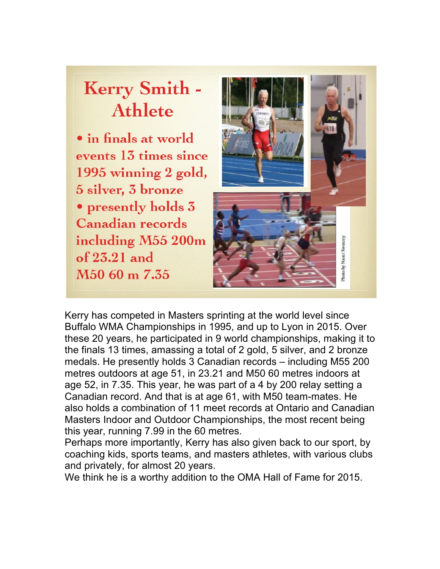# **Kerry Smith -Athlete**

• in finals at world events 13 times since 1995 winning 2 gold, 5 silver, 3 bronze • presently holds 3 **Canadian records** including M55 200m of  $25.21$  and M<sub>50</sub> 60 m 7.35



Kerry has competed in Masters sprinting at the world level since Buffalo WMA Championships in 1995, and up to Lyon in 2015. Over these 20 years, he participated in 9 world championships, making it to the finals 13 times, amassing a total of 2 gold, 5 silver, and 2 bronze medals. He presently holds 3 Canadian records – including M55 200 metres outdoors at age 51, in 23.21 and M50 60 metres indoors at age 52, in 7.35. This year, he was part of a 4 by 200 relay setting a Canadian record. And that is at age 61, with M50 team-mates. He also holds a combination of 11 meet records at Ontario and Canadian Masters Indoor and Outdoor Championships, the most recent being this year, running 7.99 in the 60 metres.

Perhaps more importantly, Kerry has also given back to our sport, by coaching kids, sports teams, and masters athletes, with various clubs and privately, for almost 20 years.

We think he is a worthy addition to the OMA Hall of Fame for 2015.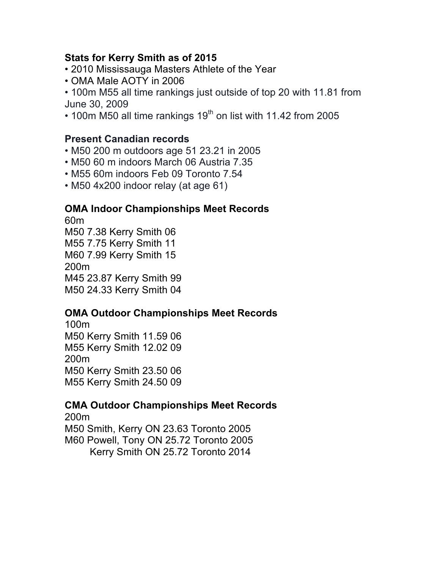#### **Stats for Kerry Smith as of 2015**

- 2010 Mississauga Masters Athlete of the Year
- OMA Male AOTY in 2006

• 100m M55 all time rankings just outside of top 20 with 11.81 from June 30, 2009

 $\cdot$  100m M50 all time rankings 19<sup>th</sup> on list with 11.42 from 2005

#### **Present Canadian records**

- M50 200 m outdoors age 51 23.21 in 2005
- M50 60 m indoors March 06 Austria 7.35
- M55 60m indoors Feb 09 Toronto 7.54
- M50 4x200 indoor relay (at age 61)

#### **OMA Indoor Championships Meet Records**

60m M50 7.38 Kerry Smith 06 M55 7.75 Kerry Smith 11 M60 7.99 Kerry Smith 15 200m M45 23.87 Kerry Smith 99 M50 24.33 Kerry Smith 04

#### **OMA Outdoor Championships Meet Records**

100m M50 Kerry Smith 11.59 06 M55 Kerry Smith 12.02 09 200m M50 Kerry Smith 23.50 06 M55 Kerry Smith 24.50 09

## **CMA Outdoor Championships Meet Records**

200m M50 Smith, Kerry ON 23.63 Toronto 2005 M60 Powell, Tony ON 25.72 Toronto 2005 Kerry Smith ON 25.72 Toronto 2014